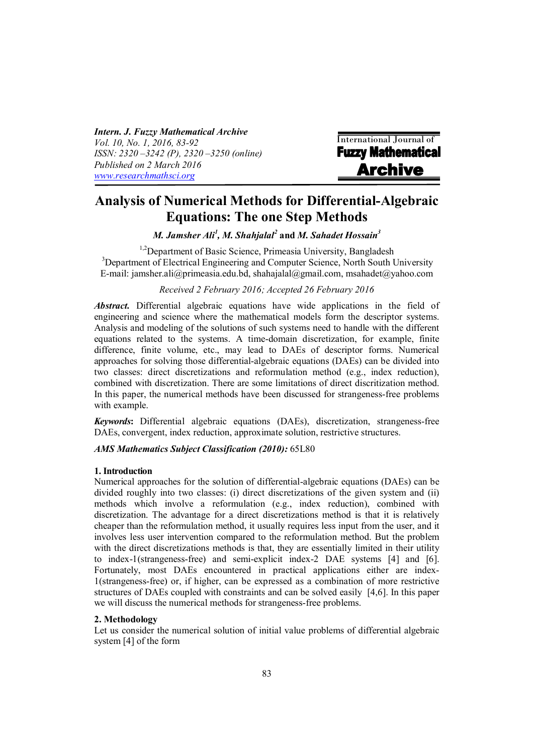*Intern. J. Fuzzy Mathematical Archive Vol. 10, No. 1, 2016, 83-92 ISSN: 2320 –3242 (P), 2320 –3250 (online) Published on 2 March 2016 [www.researchmathsci.org](http://www.researchmathsci.org)*

**International Journal of**<br>**Fuzzy Mathematical Archive** 

# **Analysis of Numerical Methods for Differential-Algebraic Equations: The one Step Methods**

*M. Jamsher Ali<sup>1</sup> , M. Shahjalal<sup>2</sup>* **and** *M. Sahadet Hossain<sup>3</sup>*

<sup>1,2</sup>Department of Basic Science, Primeasia University, Bangladesh <sup>3</sup>Department of Electrical Engineering and Computer Science, North South University E-mail: jamsher.ali@primeasia.edu.bd, [shahajalal@gmail.com,](mailto:shahajalal@gmail.com,) [msahadet@yahoo.com](mailto:msahadet@yahoo.com)

# *Received 2 February 2016; Accepted 26 February 2016*

*Abstract.* Differential algebraic equations have wide applications in the field of engineering and science where the mathematical models form the descriptor systems. Analysis and modeling of the solutions of such systems need to handle with the different equations related to the systems. A time-domain discretization, for example, finite difference, finite volume, etc., may lead to DAEs of descriptor forms. Numerical approaches for solving those differential-algebraic equations (DAEs) can be divided into two classes: direct discretizations and reformulation method (e.g., index reduction), combined with discretization. There are some limitations of direct discritization method. In this paper, the numerical methods have been discussed for strangeness-free problems with example.

*Keywords***:** Differential algebraic equations (DAEs), discretization, strangeness-free DAEs, convergent, index reduction, approximate solution, restrictive structures.

# *AMS Mathematics Subject Classification (2010):* 65L80

## **1. Introduction**

Numerical approaches for the solution of differential-algebraic equations (DAEs) can be divided roughly into two classes: (i) direct discretizations of the given system and (ii) methods which involve a reformulation (e.g., index reduction), combined with discretization. The advantage for a direct discretizations method is that it is relatively cheaper than the reformulation method, it usually requires less input from the user, and it involves less user intervention compared to the reformulation method. But the problem with the direct discretizations methods is that, they are essentially limited in their utility to index-1(strangeness-free) and semi-explicit index-2 DAE systems [4] and [6]. Fortunately, most DAEs encountered in practical applications either are index-1(strangeness-free) or, if higher, can be expressed as a combination of more restrictive structures of DAEs coupled with constraints and can be solved easily [4,6]. In this paper we will discuss the numerical methods for strangeness-free problems.

## **2. Methodology**

Let us consider the numerical solution of initial value problems of differential algebraic system [4] of the form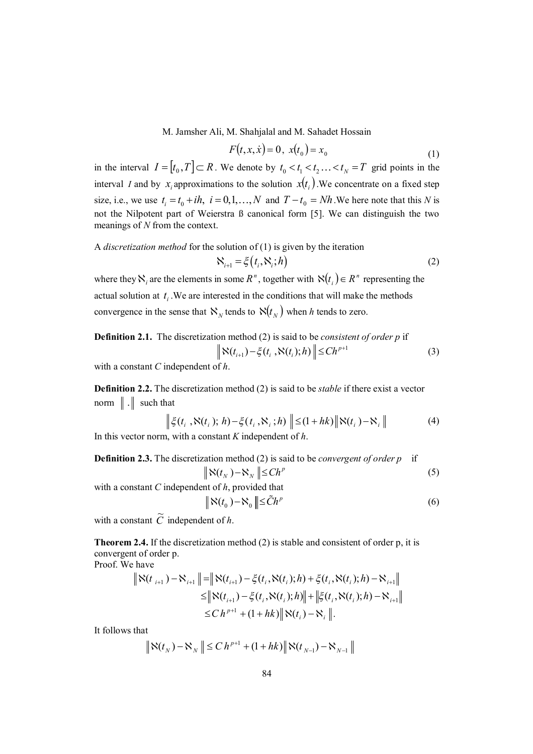$$
F(t, x, \dot{x}) = 0, \ x(t_0) = x_0 \tag{1}
$$

in the interval  $I = [t_0, T] \subset R$ . We denote by  $t_0 < t_1 < t_2 \ldots < t_N = T$  grid points in the interval *I* and by  $x_i$  approximations to the solution  $x(t_i)$ . We concentrate on a fixed step size, i.e., we use  $t_i = t_0 + ih$ ,  $i = 0, 1, ..., N$  and  $T - t_0 = Nh$ . We here note that this *N* is not the Nilpotent part of Weierstra ß canonical form [5]. We can distinguish the two meanings of *N* from the context.

# A *discretization method* for the solution of (1) is given by the iteration  $\aleph_{i+1} = \xi(t_i, \aleph_i; h)$  (2)

where they  $\aleph_i$  are the elements in some  $R^n$ , together with  $\aleph(t_i) \in R^n$  representing the actual solution at  $t_i$ . We are interested in the conditions that will make the methods convergence in the sense that  $\aleph_N$  tends to  $\aleph(t_N)$  when *h* tends to zero.

**Definition 2.1.** The discretization method (2) is said to be *consistent of order p* if 
$$
\|\aleph(t_{i+1}) - \xi(t_i, \aleph(t_i); h)\| \leq Ch^{p+1}
$$
 (3)

with a constant *C* independent of *h*.

**Definition 2.2.** The discretization method (2) is said to be *stable* if there exist a vector norm  $\|\cdot\|$  such that

$$
\left\| \xi(t_i, \aleph(t_i); h) - \xi(t_i, \aleph_i; h) \right\| \leq (1 + hk) \|\aleph(t_i) - \aleph_i\|
$$
 (4)

In this vector norm, with a constant *K* independent of *h*.

**Definition 2.3.** The discretization method (2) is said to be *convergent of order p* if 
$$
\|\aleph(t_N) - \aleph_N\| \leq Ch^p
$$
 (5)

with a constant *C* independent of *h*, provided that

$$
\|\aleph(t_0) - \aleph_0\| \leq \tilde{C}h^p \tag{6}
$$

with a constant  $\tilde{C}$  independent of *h*.

**Theorem 2.4.** If the discretization method (2) is stable and consistent of order p, it is convergent of order p.

Proof. We have

$$
\begin{aligned} \left\| \aleph(t_{i+1}) - \aleph_{i+1} \right\| &= \left\| \aleph(t_{i+1}) - \xi(t_i, \aleph(t_i); h) + \xi(t_i, \aleph(t_i); h) - \aleph_{i+1} \right\| \\ &\leq \left\| \aleph(t_{i+1}) - \xi(t_i, \aleph(t_i); h) \right\| + \left\| \xi(t_i, \aleph(t_i); h) - \aleph_{i+1} \right\| \\ &\leq C \, h^{p+1} + (1 + hk) \left\| \aleph(t_i) - \aleph_i \right\|. \end{aligned}
$$

It follows that

$$
\|\aleph(t_N) - \aleph_N \| \le C h^{p+1} + (1 + hk) \|\aleph(t_{N-1}) - \aleph_{N-1}\|
$$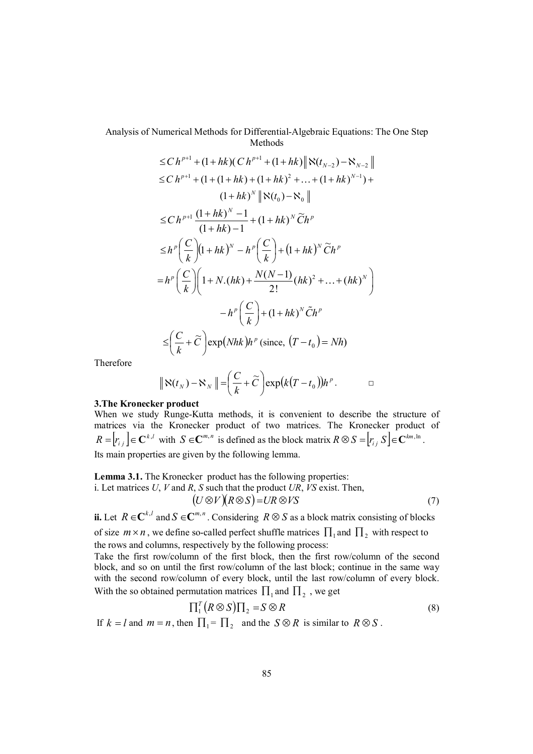$$
\leq C h^{p+1} + (1 + hk)(C h^{p+1} + (1 + hk) \|\aleph(t_{N-2}) - \aleph_{N-2}\|
$$
  
\n
$$
\leq C h^{p+1} + (1 + (1 + hk) + (1 + hk)^2 + ... + (1 + hk)^{N-1}) +
$$
  
\n
$$
(1 + hk)^N \|\aleph(t_0) - \aleph_0\|
$$
  
\n
$$
\leq C h^{p+1} \frac{(1 + hk)^N - 1}{(1 + hk) - 1} + (1 + hk)^N \widetilde{C} h^p
$$
  
\n
$$
\leq h^p \left(\frac{C}{k}\right) (1 + hk)^N - h^p \left(\frac{C}{k}\right) + (1 + hk)^N \widetilde{C} h^p
$$
  
\n
$$
= h^p \left(\frac{C}{k}\right) \left(1 + N.(hk) + \frac{N(N-1)}{2!} (hk)^2 + ... + (hk)^N\right)
$$
  
\n
$$
- h^p \left(\frac{C}{k}\right) + (1 + hk)^N \widetilde{C} h^p
$$
  
\n
$$
\leq \left(\frac{C}{k} + \widetilde{C}\right) \exp(Nhk) h^p \text{ (since, } (T - t_0) = Nh)
$$

Therefore

$$
\|\aleph(t_N)-\aleph_N\|=\left(\frac{C}{k}+\widetilde{C}\right)\exp\bigl(k(T-t_0)\bigr)h^p.
$$

#### **3.The Kronecker product**

When we study Runge-Kutta methods, it is convenient to describe the structure of matrices via the Kronecker product of two matrices. The Kronecker product of  $R = [r_{i,j}] \in \mathbb{C}^{k,l}$  with  $S \in \mathbb{C}^{m,n}$  is defined as the block matrix  $R \otimes S = [r_{i,j}] \in \mathbb{C}^{km,\ln}$ . Its main properties are given by the following lemma.

**Lemma 3.1.** The Kronecker product has the following properties:

i. Let matrices *U*, *V* and *R*, *S* such that the product *UR*, *VS* exist. Then,

$$
(U \otimes V)(R \otimes S) = UR \otimes VS \tag{7}
$$

**ii.** Let  $R \in \mathbb{C}^{k,l}$  and  $S \in \mathbb{C}^{m,n}$ . Considering  $R \otimes S$  as a block matrix consisting of blocks

of size  $m \times n$ , we define so-called perfect shuffle matrices  $\prod_1$  and  $\prod_2$  with respect to the rows and columns, respectively by the following process:

Take the first row/column of the first block, then the first row/column of the second block, and so on until the first row/column of the last block; continue in the same way with the second row/column of every block, until the last row/column of every block. With the so obtained permutation matrices  $\prod_1$  and  $\prod_2$ , we get

$$
\Pi_1^T (R \otimes S) \Pi_2 = S \otimes R \tag{8}
$$

If  $k = l$  and  $m = n$ , then  $\prod_{i} = \prod_{i}$  and the  $S \otimes R$  is similar to  $R \otimes S$ .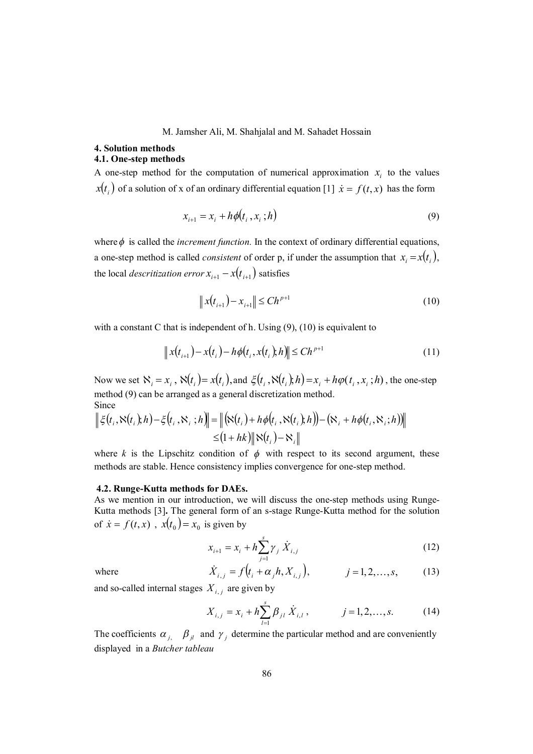### **4. Solution methods 4.1. One-step methods**

A one-step method for the computation of numerical approximation  $x_i$  to the values  $x(t_i)$  of a solution of x of an ordinary differential equation [1]  $\dot{x} = f(t, x)$  has the form

$$
x_{i+1} = x_i + h\phi(t_i, x_i; h) \tag{9}
$$

where  $\phi$  is called the *increment function*. In the context of ordinary differential equations, a one-step method is called *consistent* of order p, if under the assumption that  $x_i = x(t_i)$ , the local *descritization error*  $x_{i+1} - x(t_{i+1})$  satisfies

$$
\|x(t_{i+1}) - x_{i+1}\| \leq C h^{p+1}
$$
\n(10)

with a constant C that is independent of h. Using  $(9)$ ,  $(10)$  is equivalent to

$$
\|x(t_{i+1}) - x(t_i) - h\phi(t_i, x(t_i), h)\| \le Ch^{p+1}
$$
\n(11)

Now we set  $\aleph_i = x_i$ ,  $\aleph(t_i) = x(t_i)$ , and  $\xi(t_i, \aleph(t_i), h) = x_i + h\varphi(t_i, x_i; h)$ , the one-step method (9) can be arranged as a general discretization method. Since

$$
\|\xi(t_i, \aleph(t_i); h) - \xi(t_i, \aleph_i; h)\| = \left\| (\aleph(t_i) + h\phi(t_i, \aleph(t_i); h)) - (\aleph_i + h\phi(t_i, \aleph_i; h)) \right\|
$$
  

$$
\leq (1 + hk) \|\aleph(t_i) - \aleph_i\|
$$

where *k* is the Lipschitz condition of  $\phi$  with respect to its second argument, these methods are stable. Hence consistency implies convergence for one-step method.

#### **4.2. Runge-Kutta methods for DAEs.**

As we mention in our introduction, we will discuss the one-step methods using Runge-Kutta methods [3]**.** The general form of an s-stage Runge-Kutta method for the solution of  $\dot{x} = f(t, x)$ ,  $x(t_0) = x_0$  is given by

$$
x_{i+1} = x_i + h \sum_{j=1}^{s} \gamma_j \dot{X}_{i,j}
$$
 (12)

where 
$$
\dot{X}_{i,j} = f(t_i + \alpha_j h, X_{i,j}),
$$
  $j = 1, 2, ..., s,$  (13)

and so-called internal stages  $X_{i,j}$  are given by

$$
X_{i,j} = x_i + h \sum_{l=1}^{s} \beta_{jl} \dot{X}_{i,l}, \qquad j = 1, 2, ..., s. \qquad (14)
$$

The coefficients  $\alpha_{j}$ ,  $\beta_{jl}$  and  $\gamma_{j}$  determine the particular method and are conveniently displayed in a *Butcher tableau*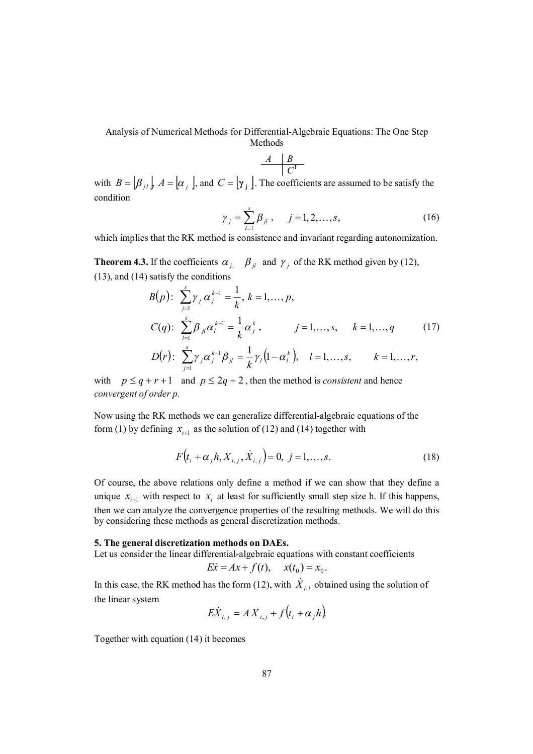$$
\begin{array}{c|c}\nA & B \\
\hline\nC^T\n\end{array}
$$

with  $B = [\beta_{j1}]$ ,  $A = [\alpha_{j}]$ , and  $C = [\gamma_{j}]$ . The coefficients are assumed to be satisfy the condition

$$
\gamma_j = \sum_{l=1}^s \beta_{jl}, \quad j = 1, 2, ..., s,
$$
\n(16)

which implies that the RK method is consistence and invariant regarding autonomization.

**Theorem 4.3.** If the coefficients  $\alpha_{j}$ ,  $\beta_{jl}$  and  $\gamma_{j}$  of the RK method given by (12), (13), and (14) satisfy the conditions

$$
B(p): \sum_{j=1}^{s} \gamma_j \alpha_j^{k-1} = \frac{1}{k}, k = 1, ..., p,
$$
  
\n
$$
C(q): \sum_{l=1}^{s} \beta_{jl} \alpha_l^{k-1} = \frac{1}{k} \alpha_j^{k}, \qquad j = 1, ..., s, \qquad k = 1, ..., q
$$
  
\n
$$
D(r): \sum_{j=1}^{s} \gamma_j \alpha_j^{k-1} \beta_{jl} = \frac{1}{k} \gamma_l (1 - \alpha_l^{k}), \quad l = 1, ..., s, \qquad k = 1, ..., r,
$$
 (17)

with  $p \leq q + r + 1$  and  $p \leq 2q + 2$ , then the method is *consistent* and hence *convergent of order p.* 

Now using the RK methods we can generalize differential-algebraic equations of the form (1) by defining  $x_{i+1}$  as the solution of (12) and (14) together with

$$
F(t_i + \alpha_j h, X_{i,j}, \dot{X}_{i,j}) = 0, \ j = 1, ..., s.
$$
 (18)

Of course, the above relations only define a method if we can show that they define a unique  $x_{i+1}$  with respect to  $x_i$  at least for sufficiently small step size h. If this happens, then we can analyze the convergence properties of the resulting methods. We will do this by considering these methods as general discretization methods.

## **5. The general discretization methods on DAEs.**

Let us consider the linear differential-algebraic equations with constant coefficients

$$
E\dot{x} = Ax + f(t), \quad x(t_0) = x_0.
$$

In this case, the RK method has the form (12), with  $\dot{X}_{i,l}$  obtained using the solution of the linear system

$$
E\dot{X}_{i,j} = AX_{i,j} + f(t_i + \alpha_j h).
$$

Together with equation (14) it becomes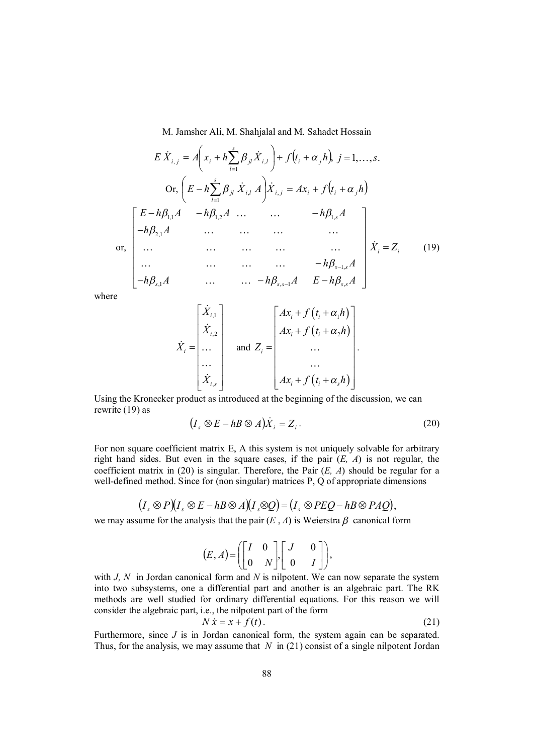$$
E \dot{X}_{i,j} = A \left( x_i + h \sum_{l=1}^{s} \beta_{jl} \dot{X}_{i,l} \right) + f \left( t_i + \alpha_{jl} \right), j = 1, ..., s.
$$
  
\nOr,  $\left( E - h \sum_{l=1}^{s} \beta_{jl} \dot{X}_{i,l} A \right) \dot{X}_{i,j} = A x_i + f \left( t_i + \alpha_{jl} \right)$   
\n
$$
\begin{bmatrix} E - h \beta_{1,l} A & - h \beta_{1,2} A & \dots & - h \beta_{1,s} A \\ -h \beta_{2,l} A & \dots & \dots & \dots \\ \dots & \dots & \dots & \dots \\ \dots & \dots & \dots & \dots \\ -h \beta_{s,l} A & \dots & \dots & - h \beta_{s-1,s} A \\ -h \beta_{s,l} A & \dots & \dots & - h \beta_{s,s-1} A & E - h \beta_{s,s} A \end{bmatrix} \dot{X}_i = Z_i \quad (19)
$$

where

$$
\dot{X}_i = \begin{bmatrix} \dot{X}_{i,1} \\ \dot{X}_{i,2} \\ \dots \\ \dots \\ \dot{X}_{i,s} \end{bmatrix} \quad \text{and} \quad Z_i = \begin{bmatrix} Ax_i + f(t_i + \alpha_1 h) \\ Ax_i + f(t_i + \alpha_2 h) \\ \dots \\ \dots \\ Ax_i + f(t_i + \alpha_s h) \end{bmatrix}.
$$

Using the Kronecker product as introduced at the beginning of the discussion, we can rewrite (19) as

$$
(I_s \otimes E - h \otimes A) \dot{X}_i = Z_i.
$$
 (20)

For non square coefficient matrix E, A this system is not uniquely solvable for arbitrary right hand sides. But even in the square cases, if the pair  $(E, A)$  is not regular, the coefficient matrix in (20) is singular. Therefore, the Pair (*E, A*) should be regular for a well-defined method. Since for (non singular) matrices P, Q of appropriate dimensions

$$
(I_s \otimes P)(I_s \otimes E - h \otimes A)(I_s \otimes Q) = (I_s \otimes PEQ - h \otimes PAQ),
$$

we may assume for the analysis that the pair  $(E, A)$  is Weierstra  $\beta$  canonical form

$$
(E, A) = \left( \begin{bmatrix} I & 0 \\ 0 & N \end{bmatrix}, \begin{bmatrix} J & 0 \\ 0 & I \end{bmatrix} \right),
$$

with *J, N* in Jordan canonical form and *N* is nilpotent. We can now separate the system into two subsystems, one a differential part and another is an algebraic part. The RK methods are well studied for ordinary differential equations. For this reason we will consider the algebraic part, i.e., the nilpotent part of the form

$$
N\dot{x} = x + f(t). \tag{21}
$$

Furthermore, since *J* is in Jordan canonical form, the system again can be separated. Thus, for the analysis, we may assume that *N* in (21) consist of a single nilpotent Jordan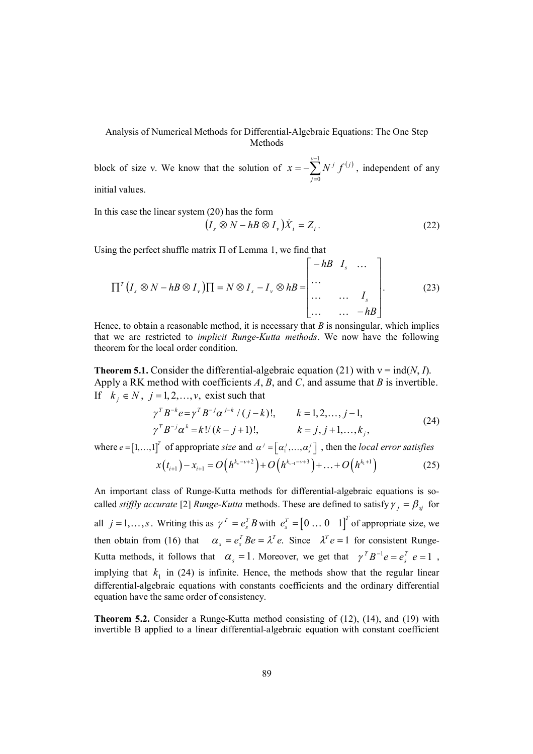block of size v. We know that the solution of  $x = -\sum_{i=1}^{y-1} N^{i} f^{(i)}$  $=$  $=$   $-$ 1  $\boldsymbol{0}$ *v j*  $x = -\sum_{i} N^{i} f^{(i)}$ , independent of any initial values.

In this case the linear system (20) has the form

$$
(I_s \otimes N - h \otimes I_v) \dot{X}_i = Z_i.
$$
 (22)

Using the perfect shuffle matrix Π of Lemma 1, we find that

$$
\Pi^{T}\left(I_{s} \otimes N - hB \otimes I_{\nu}\right)\Pi = N \otimes I_{s} - I_{\nu} \otimes hB = \begin{bmatrix} -hB & I_{s} & \dots \\ \dots & & & \\ \dots & \dots & I_{s} \\ \dots & \dots & -hB \end{bmatrix}.
$$
 (23)

Hence, to obtain a reasonable method, it is necessary that *B* is nonsingular, which implies that we are restricted to *implicit Runge-Kutta methods*. We now have the following theorem for the local order condition.

**Theorem 5.1.** Consider the differential-algebraic equation (21) with  $v = \text{ind}(N, I)$ . Apply a RK method with coefficients *A*, *B*, and *C*, and assume that *B* is invertible. If  $k_i \in N$ ,  $j = 1, 2, ..., v$ , exist such that

$$
\gamma^T B^{-k} e = \gamma^T B^{-j} \alpha^{j-k} / (j-k)!, \qquad k = 1, 2, ..., j-1,
$$
  
\n
$$
\gamma^T B^{-j} \alpha^k = k! / (k-j+1)!, \qquad k = j, j+1, ..., k_j,
$$
\n(24)

where  $e = [1, ..., 1]^T$  of appropriate *size* and  $\alpha^j = [\alpha_1^j, ..., \alpha_s^j]$ , then the *local error satisfies* 

$$
x(t_{i+1}) - x_{i+1} = O\left(h^{k_{\nu} - \nu + 2}\right) + O\left(h^{k_{\nu-1} - \nu + 3}\right) + \dots + O\left(h^{k_1 + 1}\right)
$$
 (25)

An important class of Runge-Kutta methods for differential-algebraic equations is socalled *stiffly accurate* [2] *Runge-Kutta* methods. These are defined to satisfy  $\gamma_i = \beta_{si}$  for all  $j = 1, ..., s$ . Writing this as  $\gamma^T = e_s^T B$  with  $e_s^T = [0 \dots 0 \quad 1]^T$  $e_s^T = \begin{bmatrix} 0 & \dots & 0 & 1 \end{bmatrix}^T$  of appropriate size, we then obtain from (16) that  $\alpha_s = e_s^T B e = \lambda^T e$ . Since  $\lambda^T e = 1$  for consistent Runge-Kutta methods, it follows that  $\alpha_s = 1$ . Moreover, we get that  $\gamma^T B^{-1} e = e_s^T e = 1$ , implying that  $k_1$  in (24) is infinite. Hence, the methods show that the regular linear differential-algebraic equations with constants coefficients and the ordinary differential equation have the same order of consistency.

**Theorem 5.2.** Consider a Runge-Kutta method consisting of (12), (14), and (19) with invertible B applied to a linear differential-algebraic equation with constant coefficient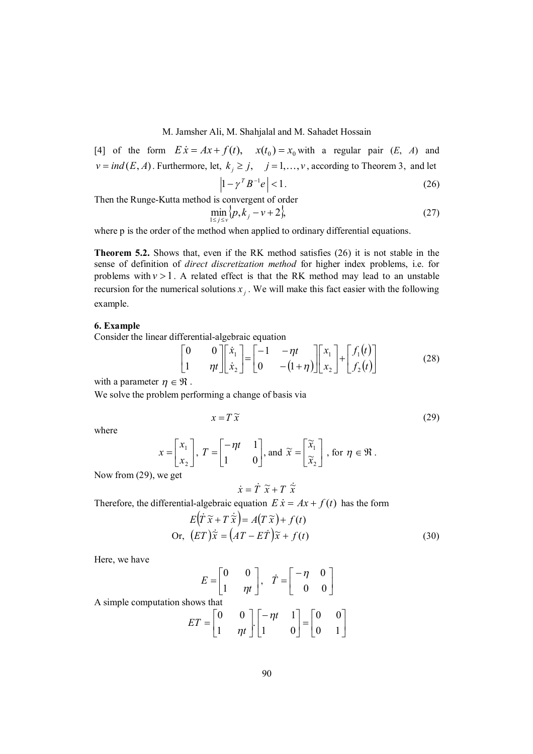[4] of the form  $E\dot{x} = Ax + f(t)$ ,  $x(t_0) = x_0$  with a regular pair (*E*, *A*) and  $v = ind(E, A)$ . Furthermore, let,  $k_j \ge j$ ,  $j = 1, ..., v$ , according to Theorem 3, and let  $\left|1 - \gamma^T B^{-1} e\right| < 1.$  (26)

Then the Runge-Kutta method is convergent of order

$$
\min_{1 \le j \le v} \{p, k_j - v + 2\},\tag{27}
$$

where p is the order of the method when applied to ordinary differential equations.

**Theorem 5.2.** Shows that, even if the RK method satisfies (26) it is not stable in the sense of definition of *direct discretization method* for higher index problems, i.e. for problems with  $v > 1$ . A related effect is that the RK method may lead to an unstable recursion for the numerical solutions  $x_j$ . We will make this fact easier with the following example.

#### **6. Example**

Consider the linear differential-algebraic equation

$$
\begin{bmatrix} 0 & 0 \ 1 & \eta t \end{bmatrix} \begin{bmatrix} \dot{x}_1 \\ \dot{x}_2 \end{bmatrix} = \begin{bmatrix} -1 & -\eta t \\ 0 & -(1+\eta) \end{bmatrix} \begin{bmatrix} x_1 \\ x_2 \end{bmatrix} + \begin{bmatrix} f_1(t) \\ f_2(t) \end{bmatrix}
$$
(28)

with a parameter  $\eta \in \mathfrak{R}$ .

We solve the problem performing a change of basis via

$$
x = T\tilde{x} \tag{29}
$$

where

$$
x = \begin{bmatrix} x_1 \\ x_2 \end{bmatrix}, T = \begin{bmatrix} -\eta t & 1 \\ 1 & 0 \end{bmatrix}, \text{ and } \widetilde{x} = \begin{bmatrix} \widetilde{x}_1 \\ \widetilde{x}_2 \end{bmatrix}, \text{ for } \eta \in \mathfrak{R}.
$$

Now from (29), we get

$$
\dot{x} = \dot{T} \,\,\widetilde{x} + T \,\,\dot{\widetilde{x}}
$$

Therefore, the differential-algebraic equation  $E \dot{x} = Ax + f(t)$  has the form

$$
E(\dot{T}\tilde{x} + T\dot{\tilde{x}}) = A(T\tilde{x}) + f(t)
$$
  
Or, 
$$
(ET)\dot{\tilde{x}} = (AT - E\dot{T})\tilde{x} + f(t)
$$
 (30)

Here, we have

$$
E = \begin{bmatrix} 0 & 0 \\ 1 & \eta t \end{bmatrix}, \quad \dot{T} = \begin{bmatrix} -\eta & 0 \\ 0 & 0 \end{bmatrix}
$$

A simple computation shows that

$$
ET = \begin{bmatrix} 0 & 0 \\ 1 & \eta t \end{bmatrix} \begin{bmatrix} -\eta t & 1 \\ 1 & 0 \end{bmatrix} = \begin{bmatrix} 0 & 0 \\ 0 & 1 \end{bmatrix}
$$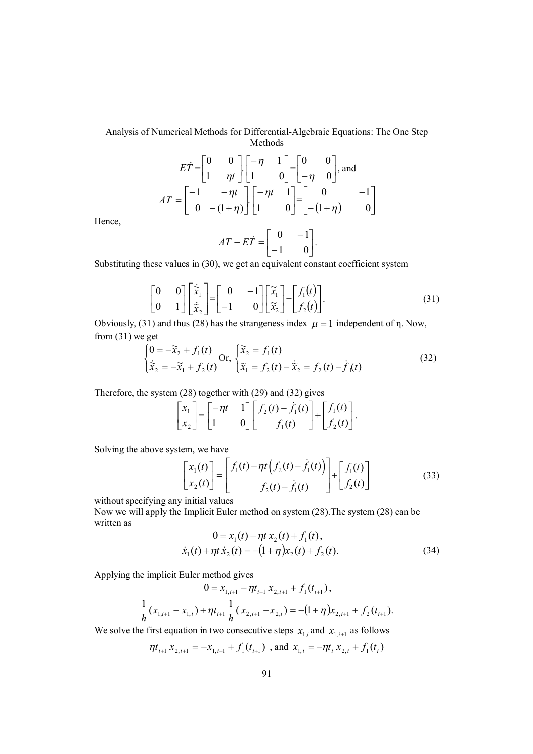$$
E\dot{T} = \begin{bmatrix} 0 & 0 \\ 1 & \eta t \end{bmatrix} \begin{bmatrix} -\eta & 1 \\ 1 & 0 \end{bmatrix} = \begin{bmatrix} 0 & 0 \\ -\eta & 0 \end{bmatrix}, \text{ and}
$$

$$
AT = \begin{bmatrix} -1 & -\eta t \\ 0 & -(1+\eta) \end{bmatrix} \begin{bmatrix} -\eta t & 1 \\ 1 & 0 \end{bmatrix} = \begin{bmatrix} 0 & -1 \\ -(1+\eta) & 0 \end{bmatrix}
$$

Hence,

$$
AT - E\dot{T} = \begin{bmatrix} 0 & -1 \\ -1 & 0 \end{bmatrix}.
$$

Substituting these values in (30), we get an equivalent constant coefficient system

$$
\begin{bmatrix} 0 & 0 \\ 0 & 1 \end{bmatrix} \begin{bmatrix} \dot{\tilde{\mathbf{x}}}_1 \\ \dot{\tilde{\mathbf{x}}}_2 \end{bmatrix} = \begin{bmatrix} 0 & -1 \\ -1 & 0 \end{bmatrix} \begin{bmatrix} \tilde{\mathbf{x}}_1 \\ \tilde{\mathbf{x}}_2 \end{bmatrix} + \begin{bmatrix} f_1(t) \\ f_2(t) \end{bmatrix}.
$$
 (31)

Obviously, (31) and thus (28) has the strangeness index  $\mu = 1$  independent of  $\eta$ . Now, from (31) we get

$$
\begin{cases}\n0 = -\tilde{x}_2 + f_1(t) \\
\dot{\tilde{x}}_2 = -\tilde{x}_1 + f_2(t)\n\end{cases}\n\text{Or, } \begin{cases}\n\tilde{x}_2 = f_1(t) \\
\tilde{x}_1 = f_2(t) - \dot{\tilde{x}}_2 = f_2(t) - \dot{f}_1(t)\n\end{cases} (32)
$$

Therefore, the system (28) together with (29) and (32) gives

$$
\begin{bmatrix} x_1 \\ x_2 \end{bmatrix} = \begin{bmatrix} -\eta t & 1 \\ 1 & 0 \end{bmatrix} \begin{bmatrix} f_2(t) - \dot{f}_1(t) \\ f_1(t) \end{bmatrix} + \begin{bmatrix} f_1(t) \\ f_2(t) \end{bmatrix}.
$$

Solving the above system, we have

$$
\begin{bmatrix} x_1(t) \\ x_2(t) \end{bmatrix} = \begin{bmatrix} f_1(t) - \eta t \left( f_2(t) - \dot{f}_1(t) \right) \\ f_2(t) - \dot{f}_1(t) \end{bmatrix} + \begin{bmatrix} f_1(t) \\ f_2(t) \end{bmatrix}
$$
(33)

without specifying any initial values

Now we will apply the Implicit Euler method on system (28).The system (28) can be written as

$$
0 = x_1(t) - \eta t x_2(t) + f_1(t),
$$
  
\n
$$
\dot{x}_1(t) + \eta t \dot{x}_2(t) = -(1 + \eta) x_2(t) + f_2(t).
$$
\n(34)

Applying the implicit Euler method gives

$$
0 = x_{1,i+1} - \eta t_{i+1} x_{2,i+1} + f_1(t_{i+1}),
$$
  

$$
\frac{1}{h} (x_{1,i+1} - x_{1,i}) + \eta t_{i+1} \frac{1}{h} (x_{2,i+1} - x_{2,i}) = -(1 + \eta) x_{2,i+1} + f_2(t_{i+1}).
$$

We solve the first equation in two consecutive steps  $x_{1,i}$  and  $x_{1,i+1}$  as follows

$$
\eta t_{i+1} x_{2,i+1} = -x_{1,i+1} + f_1(t_{i+1})
$$
, and  $x_{1,i} = -\eta t_i x_{2,i} + f_1(t_i)$